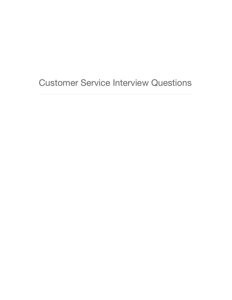Customer Service Interview Questions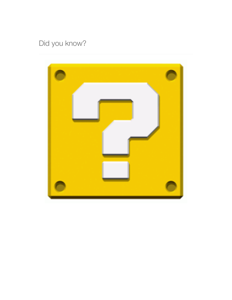# Did you know?

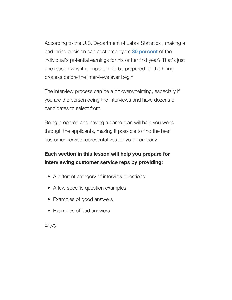According to the U.S. Department of Labor Statistics , making a bad hiring decision can cost employers **[30 percent](http://www.hr.com/en/app/blog/2012/03/who-are-you-really-hiring-10-shocking-hr-statistic_h09y2ol0.html)** of the individual's potential earnings for his or her first year? That's just one reason why it is important to be prepared for the hiring process before the interviews ever begin.

The interview process can be a bit overwhelming, especially if you are the person doing the interviews and have dozens of candidates to select from.

Being prepared and having a game plan will help you weed through the applicants, making it possible to find the best customer service representatives for your company.

## **Each section in this lesson will help you prepare for interviewing customer service reps by providing:**

- A different category of interview questions
- A few specific question examples
- Examples of good answers
- Examples of bad answers

Enjoy!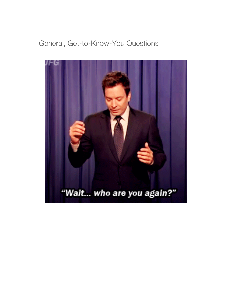# General, Get-to-Know-You Questions

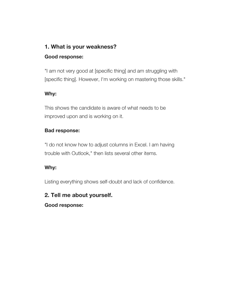## **1. What is your weakness?**

## **Good response:**

"I am not very good at [specific thing] and am struggling with [specific thing]. However, I'm working on mastering those skills."

## **Why:**

This shows the candidate is aware of what needs to be improved upon and is working on it.

## **Bad response:**

"I do not know how to adjust columns in Excel. I am having trouble with Outlook," then lists several other items.

## **Why:**

Listing everything shows self-doubt and lack of confidence.

## **2. Tell me about yourself.**

**Good response:**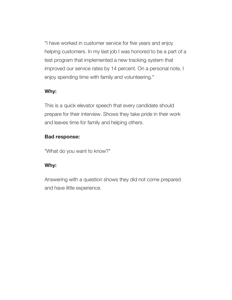"I have worked in customer service for five years and enjoy helping customers. In my last job I was honored to be a part of a test program that implemented a new tracking system that improved our service rates by 14 percent. On a personal note, I enjoy spending time with family and volunteering."

## **Why:**

This is a quick elevator speech that every candidate should prepare for their interview. Shows they take pride in their work and leaves time for family and helping others.

## **Bad response:**

"What do you want to know?"

## **Why:**

Answering with a question shows they did not come prepared and have little experience.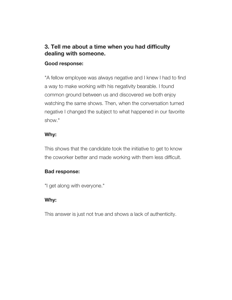## **3. Tell me about a time when you had difficulty dealing with someone.**

#### **Good response:**

"A fellow employee was always negative and I knew I had to find a way to make working with his negativity bearable. I found common ground between us and discovered we both enjoy watching the same shows. Then, when the conversation turned negative I changed the subject to what happened in our favorite show."

#### **Why:**

This shows that the candidate took the initiative to get to know the coworker better and made working with them less difficult.

## **Bad response:**

"I get along with everyone."

## **Why:**

This answer is just not true and shows a lack of authenticity.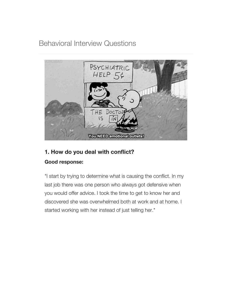Behavioral Interview Questions



# **1. How do you deal with conflict?**

## **Good response:**

"I start by trying to determine what is causing the conflict. In my last job there was one person who always got defensive when you would offer advice. I took the time to get to know her and discovered she was overwhelmed both at work and at home. I started working with her instead of just telling her."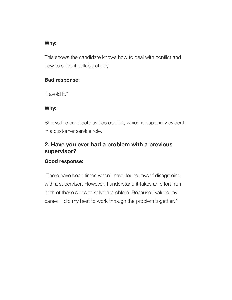## **Why:**

This shows the candidate knows how to deal with conflict and how to solve it collaboratively.

## **Bad response:**

"I avoid it."

## **Why:**

Shows the candidate avoids conflict, which is especially evident in a customer service role.

## **2. Have you ever had a problem with a previous supervisor?**

## **Good response:**

"There have been times when I have found myself disagreeing with a supervisor. However, I understand it takes an effort from both of those sides to solve a problem. Because I valued my career, I did my best to work through the problem together."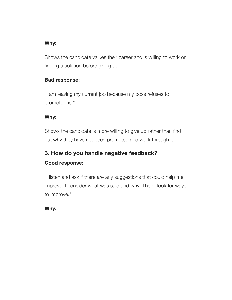## **Why:**

Shows the candidate values their career and is willing to work on finding a solution before giving up.

## **Bad response:**

"I am leaving my current job because my boss refuses to promote me."

## **Why:**

Shows the candidate is more willing to give up rather than find out why they have not been promoted and work through it.

# **3. How do you handle negative feedback?**

## **Good response:**

"I listen and ask if there are any suggestions that could help me improve. I consider what was said and why. Then I look for ways to improve."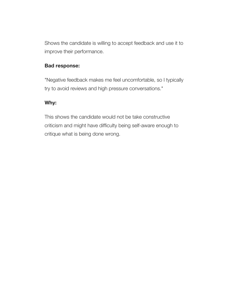Shows the candidate is willing to accept feedback and use it to improve their performance.

#### **Bad response:**

"Negative feedback makes me feel uncomfortable, so I typically try to avoid reviews and high pressure conversations."

## **Why:**

This shows the candidate would not be take constructive criticism and might have difficulty being self-aware enough to critique what is being done wrong.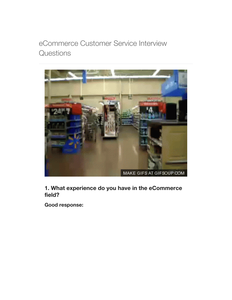# eCommerce Customer Service Interview **Questions**



**1. What experience do you have in the eCommerce field?**

**Good response:**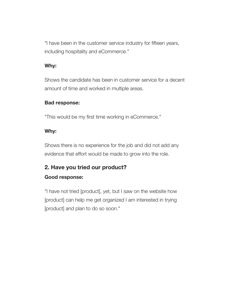"I have been in the customer service industry for fifteen years, including hospitality and eCommerce."

## **Why:**

Shows the candidate has been in customer service for a decent amount of time and worked in multiple areas.

## **Bad response:**

"This would be my first time working in eCommerce."

## **Why:**

Shows there is no experience for the job and did not add any evidence that effort would be made to grow into the role.

## **2. Have you tried our product?**

## **Good response:**

"I have not tried [product], yet, but I saw on the website how [product] can help me get organized I am interested in trying [product] and plan to do so soon."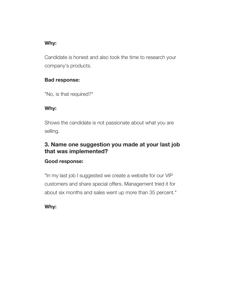## **Why:**

Candidate is honest and also took the time to research your company's products.

## **Bad response:**

"No, is that required?"

## **Why:**

Shows the candidate is not passionate about what you are selling.

## **3. Name one suggestion you made at your last job that was implemented?**

## **Good response:**

"In my last job I suggested we create a website for our VIP customers and share special offers. Management tried it for about six months and sales went up more than 35 percent."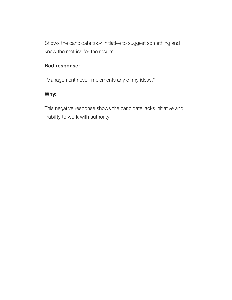Shows the candidate took initiative to suggest something and knew the metrics for the results.

## **Bad response:**

"Management never implements any of my ideas."

## **Why:**

This negative response shows the candidate lacks initiative and inability to work with authority.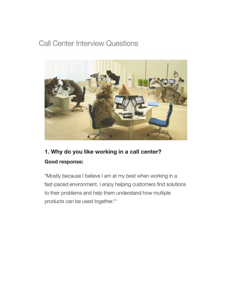## Call Center Interview Questions



## **1. Why do you like working in a call center? Good response:**

"Mostly because I believe I am at my best when working in a fast-paced environment. I enjoy helping customers find solutions to their problems and help them understand how multiple products can be used together."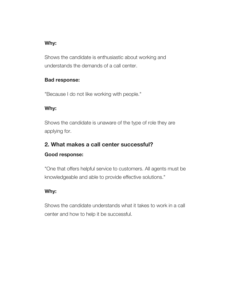## **Why:**

Shows the candidate is enthusiastic about working and understands the demands of a call center.

## **Bad response:**

"Because I do not like working with people."

## **Why:**

Shows the candidate is unaware of the type of role they are applying for.

## **2. What makes a call center successful? Good response:**

"One that offers helpful service to customers. All agents must be knowledgeable and able to provide effective solutions."

## **Why:**

Shows the candidate understands what it takes to work in a call center and how to help it be successful.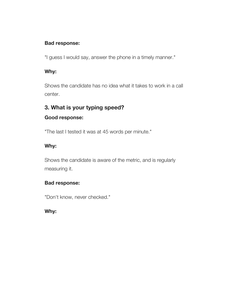## **Bad response:**

"I guess I would say, answer the phone in a timely manner."

#### **Why:**

Shows the candidate has no idea what it takes to work in a call center.

## **3. What is your typing speed?**

## **Good response:**

"The last I tested it was at 45 words per minute."

## **Why:**

Shows the candidate is aware of the metric, and is regularly measuring it.

## **Bad response:**

"Don't know, never checked."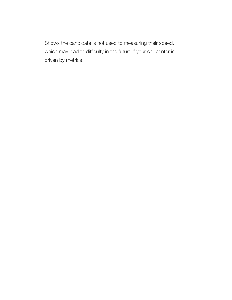Shows the candidate is not used to measuring their speed, which may lead to difficulty in the future if your call center is driven by metrics.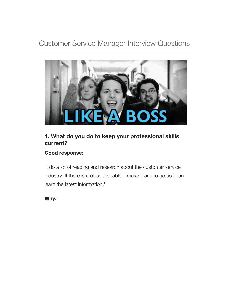Customer Service Manager Interview Questions



## **1. What do you do to keep your professional skills current?**

## **Good response:**

"I do a lot of reading and research about the customer service industry. If there is a class available, I make plans to go so I can learn the latest information."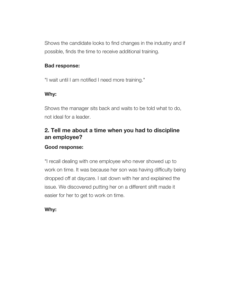Shows the candidate looks to find changes in the industry and if possible, finds the time to receive additional training.

#### **Bad response:**

"I wait until I am notified I need more training."

## **Why:**

Shows the manager sits back and waits to be told what to do, not ideal for a leader.

## **2. Tell me about a time when you had to discipline an employee?**

## **Good response:**

"I recall dealing with one employee who never showed up to work on time. It was because her son was having difficulty being dropped off at daycare. I sat down with her and explained the issue. We discovered putting her on a different shift made it easier for her to get to work on time.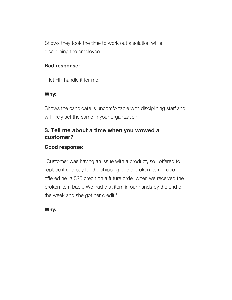Shows they took the time to work out a solution while disciplining the employee.

## **Bad response:**

"I let HR handle it for me."

## **Why:**

Shows the candidate is uncomfortable with disciplining staff and will likely act the same in your organization.

## **3. Tell me about a time when you wowed a customer?**

## **Good response:**

"Customer was having an issue with a product, so I offered to replace it and pay for the shipping of the broken item. I also offered her a \$25 credit on a future order when we received the broken item back. We had that item in our hands by the end of the week and she got her credit."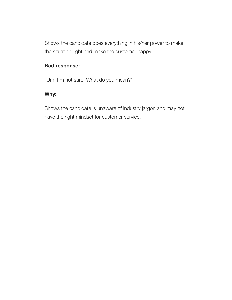Shows the candidate does everything in his/her power to make the situation right and make the customer happy.

## **Bad response:**

"Um, I'm not sure. What do you mean?"

## **Why:**

Shows the candidate is unaware of industry jargon and may not have the right mindset for customer service.